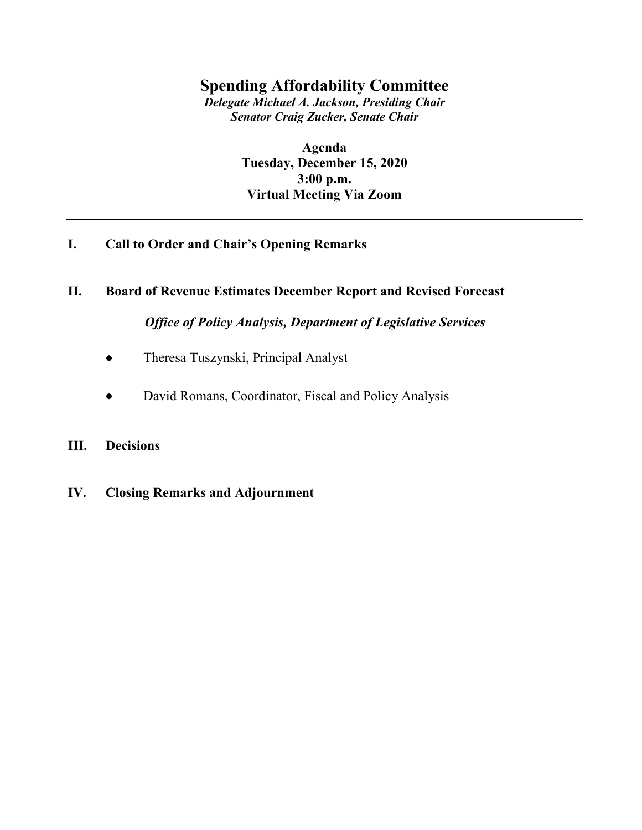## **Spending Affordability Committee**

*Delegate Michael A. Jackson, Presiding Chair Senator Craig Zucker, Senate Chair*

> **Agenda Tuesday, December 15, 2020 3:00 p.m. Virtual Meeting Via Zoom**

# **I. Call to Order and Chair's Opening Remarks**

### **II. Board of Revenue Estimates December Report and Revised Forecast**

*Office of Policy Analysis, Department of Legislative Services*

- Theresa Tuszynski, Principal Analyst
- David Romans, Coordinator, Fiscal and Policy Analysis

### **III. Decisions**

**IV. Closing Remarks and Adjournment**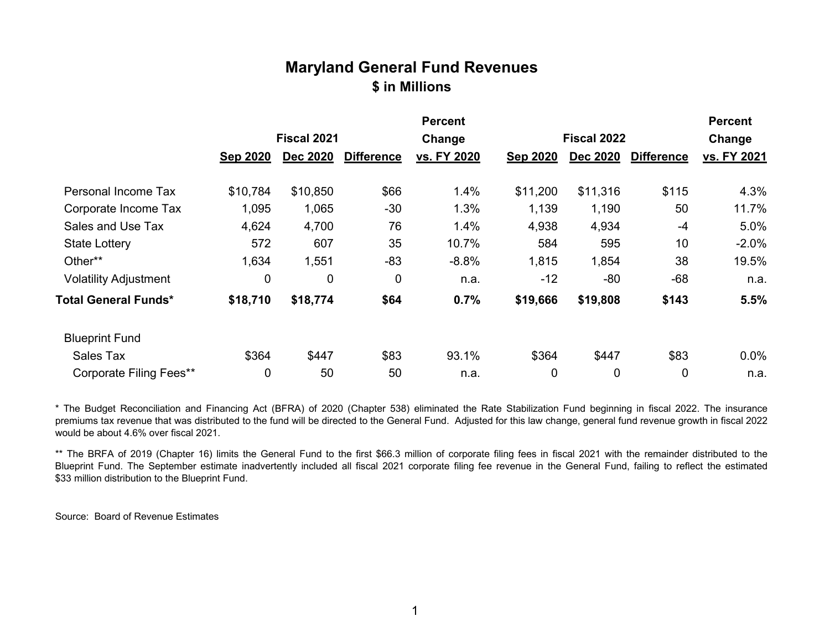# **Maryland General Fund Revenues \$ in Millions**

|                                |                 |                 |                   | <b>Percent</b> |                 |                 |                   | <b>Percent</b> |
|--------------------------------|-----------------|-----------------|-------------------|----------------|-----------------|-----------------|-------------------|----------------|
|                                | Fiscal 2021     |                 |                   | Change         |                 | Fiscal 2022     |                   | Change         |
|                                | <b>Sep 2020</b> | <b>Dec 2020</b> | <b>Difference</b> | vs. FY 2020    | <b>Sep 2020</b> | <b>Dec 2020</b> | <b>Difference</b> | vs. FY 2021    |
| Personal Income Tax            | \$10,784        | \$10,850        | \$66              | 1.4%           | \$11,200        | \$11,316        | \$115             | 4.3%           |
| Corporate Income Tax           | 1,095           | 1,065           | $-30$             | 1.3%           | 1,139           | 1,190           | 50                | 11.7%          |
| Sales and Use Tax              | 4,624           | 4,700           | 76                | 1.4%           | 4,938           | 4,934           | -4                | 5.0%           |
| <b>State Lottery</b>           | 572             | 607             | 35                | 10.7%          | 584             | 595             | 10                | $-2.0%$        |
| Other**                        | 1,634           | 1,551           | $-83$             | $-8.8%$        | 1,815           | 1,854           | 38                | 19.5%          |
| <b>Volatility Adjustment</b>   | 0               | 0               | 0                 | n.a.           | $-12$           | $-80$           | $-68$             | n.a.           |
| <b>Total General Funds*</b>    | \$18,710        | \$18,774        | \$64              | 0.7%           | \$19,666        | \$19,808        | \$143             | 5.5%           |
| <b>Blueprint Fund</b>          |                 |                 |                   |                |                 |                 |                   |                |
| Sales Tax                      | \$364           | \$447           | \$83              | 93.1%          | \$364           | \$447           | \$83              | 0.0%           |
| <b>Corporate Filing Fees**</b> | 0               | 50              | 50                | n.a.           | 0               | $\mathbf 0$     | 0                 | n.a.           |

\* The Budget Reconciliation and Financing Act (BFRA) of 2020 (Chapter 538) eliminated the Rate Stabilization Fund beginning in fiscal 2022. The insurance premiums tax revenue that was distributed to the fund will be directed to the General Fund. Adjusted for this law change, general fund revenue growth in fiscal 2022 would be about 4.6% over fiscal 2021.

\*\* The BRFA of 2019 (Chapter 16) limits the General Fund to the first \$66.3 million of corporate filing fees in fiscal 2021 with the remainder distributed to the Blueprint Fund. The September estimate inadvertently included all fiscal 2021 corporate filing fee revenue in the General Fund, failing to reflect the estimated \$33 million distribution to the Blueprint Fund.

Source: Board of Revenue Estimates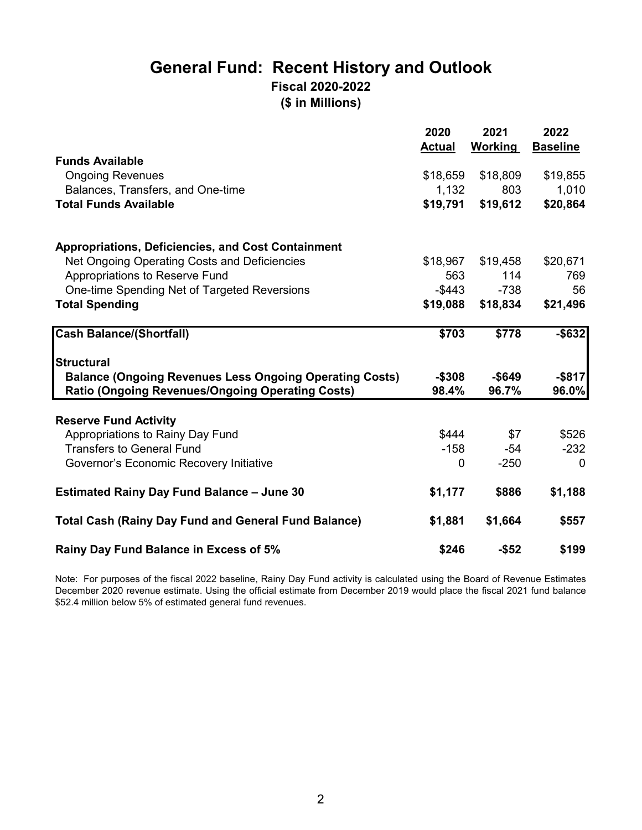# **General Fund: Recent History and Outlook Fiscal 2020-2022 (\$ in Millions)**

|                                                                                                                    | 2020<br><b>Actual</b> | 2021<br>Working    | 2022<br><b>Baseline</b> |
|--------------------------------------------------------------------------------------------------------------------|-----------------------|--------------------|-------------------------|
| <b>Funds Available</b>                                                                                             |                       |                    |                         |
| <b>Ongoing Revenues</b>                                                                                            | \$18,659              | \$18,809           | \$19,855                |
| Balances, Transfers, and One-time                                                                                  | 1,132                 | 803                | 1,010                   |
| <b>Total Funds Available</b>                                                                                       | \$19,791              | \$19,612           | \$20,864                |
| <b>Appropriations, Deficiencies, and Cost Containment</b>                                                          |                       |                    |                         |
| Net Ongoing Operating Costs and Deficiencies                                                                       | \$18,967              | \$19,458           | \$20,671                |
| Appropriations to Reserve Fund                                                                                     | 563                   | 114                | 769                     |
| One-time Spending Net of Targeted Reversions                                                                       | -\$443                | $-738$             | 56                      |
| <b>Total Spending</b>                                                                                              | \$19,088              | \$18,834           | \$21,496                |
| <b>Cash Balance/(Shortfall)</b>                                                                                    | \$703                 | \$778              | $-$ \$632               |
| <b>Structural</b>                                                                                                  |                       |                    |                         |
| <b>Balance (Ongoing Revenues Less Ongoing Operating Costs)</b><br>Ratio (Ongoing Revenues/Ongoing Operating Costs) | $-$308$<br>98.4%      | $-$ \$649<br>96.7% | $-$ \$817<br>96.0%      |
|                                                                                                                    |                       |                    |                         |
| <b>Reserve Fund Activity</b>                                                                                       |                       |                    |                         |
| Appropriations to Rainy Day Fund                                                                                   | \$444                 | \$7                | \$526                   |
| <b>Transfers to General Fund</b>                                                                                   | $-158$                | -54                | $-232$                  |
| Governor's Economic Recovery Initiative                                                                            | 0                     | $-250$             | $\Omega$                |
| <b>Estimated Rainy Day Fund Balance - June 30</b>                                                                  | \$1,177               | \$886              | \$1,188                 |
| <b>Total Cash (Rainy Day Fund and General Fund Balance)</b>                                                        | \$1,881               | \$1,664            | \$557                   |
| Rainy Day Fund Balance in Excess of 5%                                                                             | \$246                 | $-$ \$52           | \$199                   |

Note: For purposes of the fiscal 2022 baseline, Rainy Day Fund activity is calculated using the Board of Revenue Estimates December 2020 revenue estimate. Using the official estimate from December 2019 would place the fiscal 2021 fund balance \$52.4 million below 5% of estimated general fund revenues.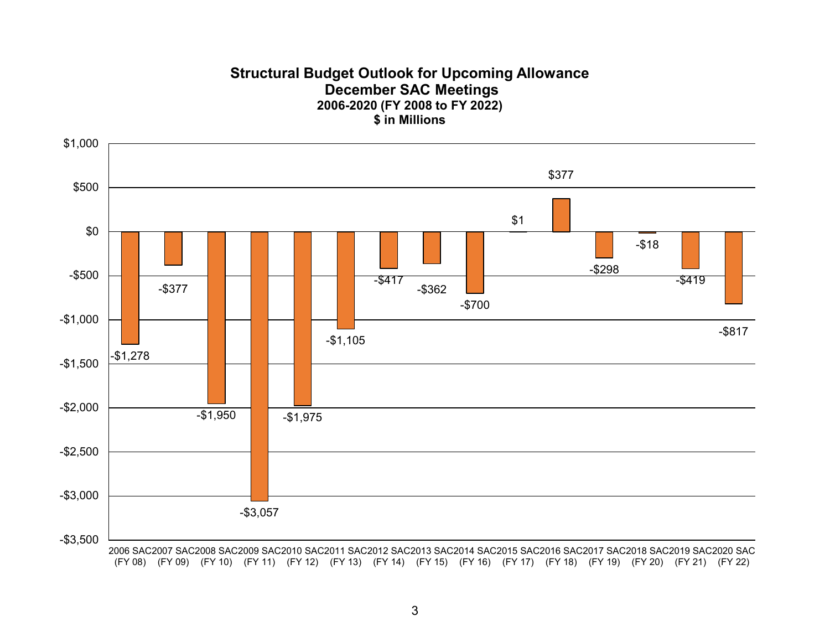### **Structural Budget Outlook for Upcoming Allowance December SAC Meetings 2006-2020 (FY 2008 to FY 2022) \$ in Millions**

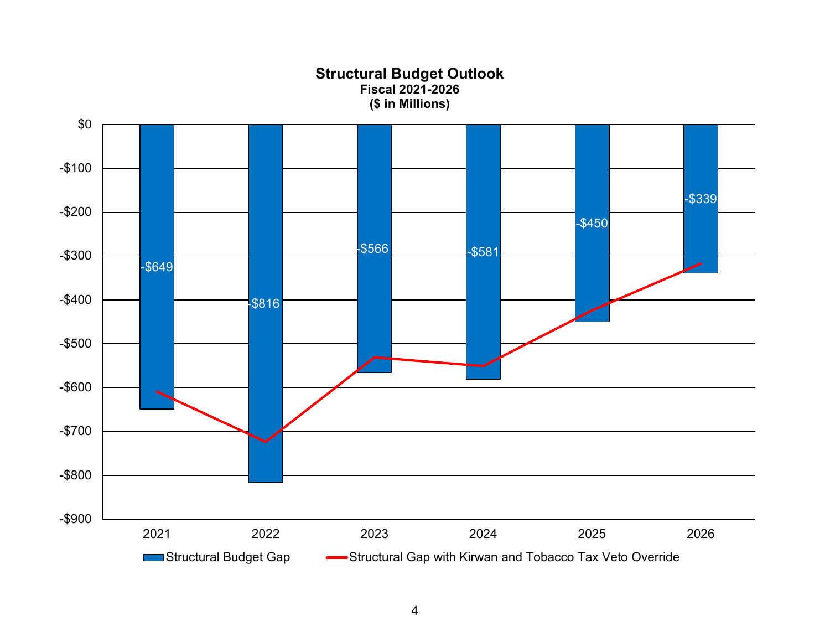**Structural Budget Outlook Fiscal 2021-2026 (\$ in Millions)**

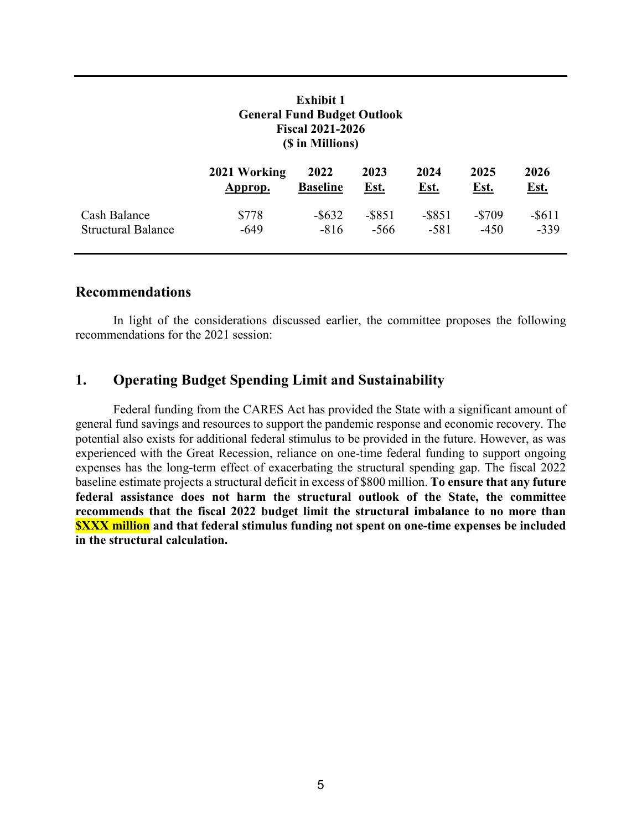| <b>Exhibit 1</b><br><b>General Fund Budget Outlook</b><br><b>Fiscal 2021-2026</b><br>(\$ in Millions) |              |                 |             |             |             |             |
|-------------------------------------------------------------------------------------------------------|--------------|-----------------|-------------|-------------|-------------|-------------|
|                                                                                                       | 2021 Working | 2022            | 2023        | 2024        | 2025        | 2026        |
|                                                                                                       | Approp.      | <b>Baseline</b> | <u>Est.</u> | <u>Est.</u> | <u>Est.</u> | <u>Est.</u> |
| Cash Balance                                                                                          | \$778        | $-$ \$632       | $-$ \$851   | $-$ \$851   | $-$ \$709   | $-$ \$611   |
| <b>Structural Balance</b>                                                                             | $-649$       | $-816$          | $-566$      | $-581$      | $-450$      | $-339$      |

#### **Recommendations**

In light of the considerations discussed earlier, the committee proposes the following recommendations for the 2021 session:

### **1. Operating Budget Spending Limit and Sustainability**

Federal funding from the CARES Act has provided the State with a significant amount of general fund savings and resources to support the pandemic response and economic recovery. The potential also exists for additional federal stimulus to be provided in the future. However, as was experienced with the Great Recession, reliance on one-time federal funding to support ongoing expenses has the long-term effect of exacerbating the structural spending gap. The fiscal 2022 baseline estimate projects a structural deficit in excess of \$800 million. **To ensure that any future federal assistance does not harm the structural outlook of the State, the committee recommends that the fiscal 2022 budget limit the structural imbalance to no more than \$XXX million and that federal stimulus funding not spent on one-time expenses be included in the structural calculation.**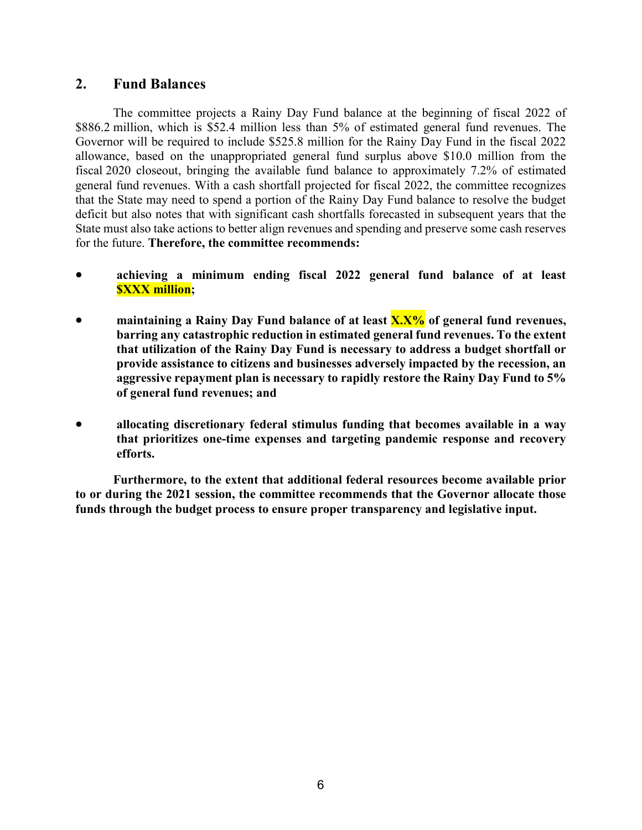### **2. Fund Balances**

The committee projects a Rainy Day Fund balance at the beginning of fiscal 2022 of \$886.2 million, which is \$52.4 million less than 5% of estimated general fund revenues. The Governor will be required to include \$525.8 million for the Rainy Day Fund in the fiscal 2022 allowance, based on the unappropriated general fund surplus above \$10.0 million from the fiscal 2020 closeout, bringing the available fund balance to approximately 7.2% of estimated general fund revenues. With a cash shortfall projected for fiscal 2022, the committee recognizes that the State may need to spend a portion of the Rainy Day Fund balance to resolve the budget deficit but also notes that with significant cash shortfalls forecasted in subsequent years that the State must also take actions to better align revenues and spending and preserve some cash reserves for the future. **Therefore, the committee recommends:**

- **achieving a minimum ending fiscal 2022 general fund balance of at least \$XXX million;**
- **maintaining a Rainy Day Fund balance of at least X.X% of general fund revenues, barring any catastrophic reduction in estimated general fund revenues. To the extent that utilization of the Rainy Day Fund is necessary to address a budget shortfall or provide assistance to citizens and businesses adversely impacted by the recession, an aggressive repayment plan is necessary to rapidly restore the Rainy Day Fund to 5% of general fund revenues; and**
- **allocating discretionary federal stimulus funding that becomes available in a way that prioritizes one-time expenses and targeting pandemic response and recovery efforts.**

**Furthermore, to the extent that additional federal resources become available prior to or during the 2021 session, the committee recommends that the Governor allocate those funds through the budget process to ensure proper transparency and legislative input.**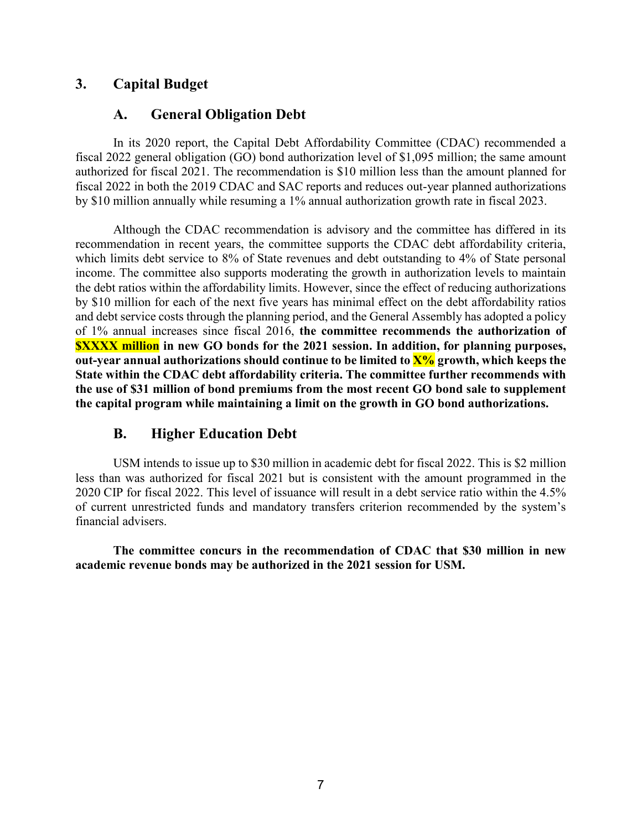## **3. Capital Budget**

### **A. General Obligation Debt**

In its 2020 report, the Capital Debt Affordability Committee (CDAC) recommended a fiscal 2022 general obligation (GO) bond authorization level of \$1,095 million; the same amount authorized for fiscal 2021. The recommendation is \$10 million less than the amount planned for fiscal 2022 in both the 2019 CDAC and SAC reports and reduces out-year planned authorizations by \$10 million annually while resuming a 1% annual authorization growth rate in fiscal 2023.

Although the CDAC recommendation is advisory and the committee has differed in its recommendation in recent years, the committee supports the CDAC debt affordability criteria, which limits debt service to 8% of State revenues and debt outstanding to 4% of State personal income. The committee also supports moderating the growth in authorization levels to maintain the debt ratios within the affordability limits. However, since the effect of reducing authorizations by \$10 million for each of the next five years has minimal effect on the debt affordability ratios and debt service costs through the planning period, and the General Assembly has adopted a policy of 1% annual increases since fiscal 2016, **the committee recommends the authorization of \$XXXX million in new GO bonds for the 2021 session. In addition, for planning purposes, out-year annual authorizations should continue to be limited to X% growth, which keeps the State within the CDAC debt affordability criteria. The committee further recommends with the use of \$31 million of bond premiums from the most recent GO bond sale to supplement the capital program while maintaining a limit on the growth in GO bond authorizations.**

## **B. Higher Education Debt**

USM intends to issue up to \$30 million in academic debt for fiscal 2022. This is \$2 million less than was authorized for fiscal 2021 but is consistent with the amount programmed in the 2020 CIP for fiscal 2022. This level of issuance will result in a debt service ratio within the 4.5% of current unrestricted funds and mandatory transfers criterion recommended by the system's financial advisers.

**The committee concurs in the recommendation of CDAC that \$30 million in new academic revenue bonds may be authorized in the 2021 session for USM.**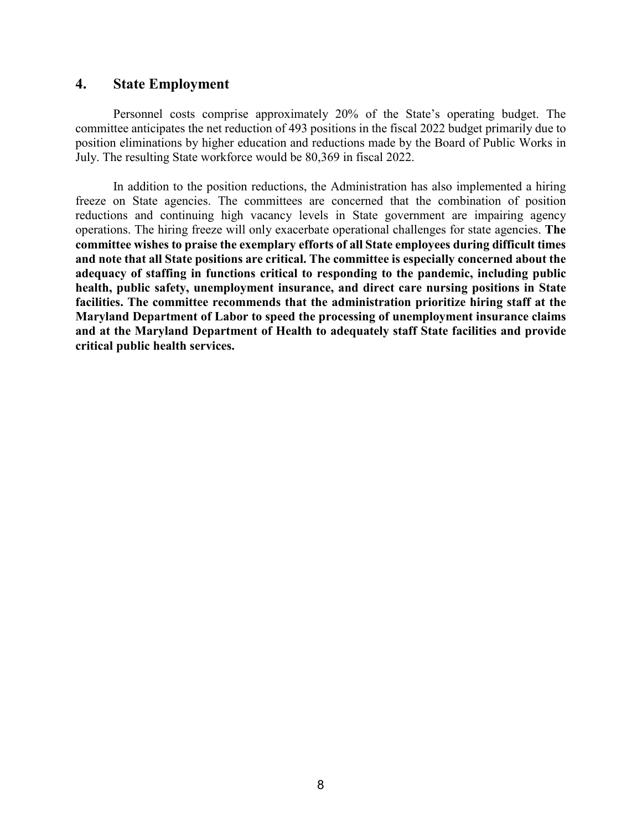#### **4. State Employment**

Personnel costs comprise approximately 20% of the State's operating budget. The committee anticipates the net reduction of 493 positions in the fiscal 2022 budget primarily due to position eliminations by higher education and reductions made by the Board of Public Works in July. The resulting State workforce would be 80,369 in fiscal 2022.

In addition to the position reductions, the Administration has also implemented a hiring freeze on State agencies. The committees are concerned that the combination of position reductions and continuing high vacancy levels in State government are impairing agency operations. The hiring freeze will only exacerbate operational challenges for state agencies. **The committee wishes to praise the exemplary efforts of all State employees during difficult times and note that all State positions are critical. The committee is especially concerned about the adequacy of staffing in functions critical to responding to the pandemic, including public health, public safety, unemployment insurance, and direct care nursing positions in State facilities. The committee recommends that the administration prioritize hiring staff at the Maryland Department of Labor to speed the processing of unemployment insurance claims and at the Maryland Department of Health to adequately staff State facilities and provide critical public health services.**